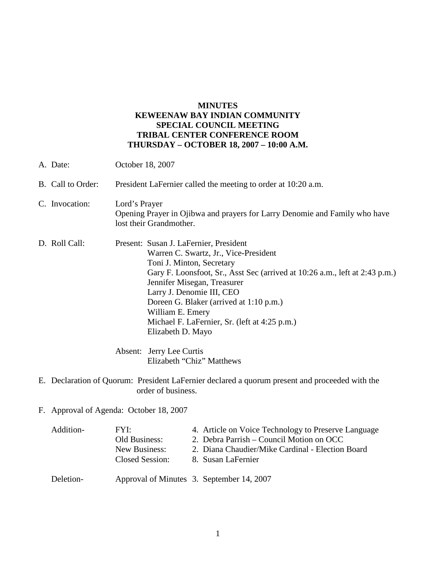## **MINUTES KEWEENAW BAY INDIAN COMMUNITY SPECIAL COUNCIL MEETING TRIBAL CENTER CONFERENCE ROOM THURSDAY – OCTOBER 18, 2007 – 10:00 A.M.**

| A. Date:          | October 18, 2007                                                                                                                                                                                                                                                                                                                                                                             |  |
|-------------------|----------------------------------------------------------------------------------------------------------------------------------------------------------------------------------------------------------------------------------------------------------------------------------------------------------------------------------------------------------------------------------------------|--|
| B. Call to Order: | President LaFernier called the meeting to order at 10:20 a.m.                                                                                                                                                                                                                                                                                                                                |  |
| C. Invocation:    | Lord's Prayer<br>Opening Prayer in Ojibwa and prayers for Larry Denomie and Family who have<br>lost their Grandmother.                                                                                                                                                                                                                                                                       |  |
| D. Roll Call:     | Present: Susan J. LaFernier, President<br>Warren C. Swartz, Jr., Vice-President<br>Toni J. Minton, Secretary<br>Gary F. Loonsfoot, Sr., Asst Sec (arrived at 10:26 a.m., left at 2:43 p.m.)<br>Jennifer Misegan, Treasurer<br>Larry J. Denomie III, CEO<br>Doreen G. Blaker (arrived at 1:10 p.m.)<br>William E. Emery<br>Michael F. LaFernier, Sr. (left at 4:25 p.m.)<br>Elizabeth D. Mayo |  |
|                   | Absent: Jerry Lee Curtis<br>Elizabeth "Chiz" Matthews                                                                                                                                                                                                                                                                                                                                        |  |

- E. Declaration of Quorum: President LaFernier declared a quorum present and proceeded with the order of business.
- F. Approval of Agenda: October 18, 2007

| Addition- | FYI:            | 4. Article on Voice Technology to Preserve Language |
|-----------|-----------------|-----------------------------------------------------|
|           | Old Business:   | 2. Debra Parrish – Council Motion on OCC            |
|           | New Business:   | 2. Diana Chaudier/Mike Cardinal - Election Board    |
|           | Closed Session: | 8. Susan LaFernier                                  |
| Deletion- |                 | Approval of Minutes 3. September 14, 2007           |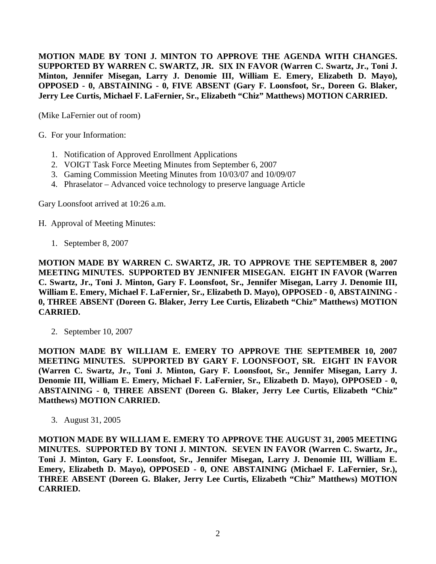**MOTION MADE BY TONI J. MINTON TO APPROVE THE AGENDA WITH CHANGES. SUPPORTED BY WARREN C. SWARTZ, JR. SIX IN FAVOR (Warren C. Swartz, Jr., Toni J. Minton, Jennifer Misegan, Larry J. Denomie III, William E. Emery, Elizabeth D. Mayo), OPPOSED - 0, ABSTAINING - 0, FIVE ABSENT (Gary F. Loonsfoot, Sr., Doreen G. Blaker, Jerry Lee Curtis, Michael F. LaFernier, Sr., Elizabeth "Chiz" Matthews) MOTION CARRIED.**

(Mike LaFernier out of room)

G. For your Information:

- 1. Notification of Approved Enrollment Applications
- 2. VOIGT Task Force Meeting Minutes from September 6, 2007
- 3. Gaming Commission Meeting Minutes from 10/03/07 and 10/09/07
- 4. Phraselator Advanced voice technology to preserve language Article

Gary Loonsfoot arrived at 10:26 a.m.

- H. Approval of Meeting Minutes:
	- 1. September 8, 2007

**MOTION MADE BY WARREN C. SWARTZ, JR. TO APPROVE THE SEPTEMBER 8, 2007 MEETING MINUTES. SUPPORTED BY JENNIFER MISEGAN. EIGHT IN FAVOR (Warren C. Swartz, Jr., Toni J. Minton, Gary F. Loonsfoot, Sr., Jennifer Misegan, Larry J. Denomie III, William E. Emery, Michael F. LaFernier, Sr., Elizabeth D. Mayo), OPPOSED - 0, ABSTAINING - 0, THREE ABSENT (Doreen G. Blaker, Jerry Lee Curtis, Elizabeth "Chiz" Matthews) MOTION CARRIED.**

2. September 10, 2007

**MOTION MADE BY WILLIAM E. EMERY TO APPROVE THE SEPTEMBER 10, 2007 MEETING MINUTES. SUPPORTED BY GARY F. LOONSFOOT, SR. EIGHT IN FAVOR (Warren C. Swartz, Jr., Toni J. Minton, Gary F. Loonsfoot, Sr., Jennifer Misegan, Larry J. Denomie III, William E. Emery, Michael F. LaFernier, Sr., Elizabeth D. Mayo), OPPOSED - 0, ABSTAINING - 0, THREE ABSENT (Doreen G. Blaker, Jerry Lee Curtis, Elizabeth "Chiz" Matthews) MOTION CARRIED.**

3. August 31, 2005

**MOTION MADE BY WILLIAM E. EMERY TO APPROVE THE AUGUST 31, 2005 MEETING MINUTES. SUPPORTED BY TONI J. MINTON. SEVEN IN FAVOR (Warren C. Swartz, Jr., Toni J. Minton, Gary F. Loonsfoot, Sr., Jennifer Misegan, Larry J. Denomie III, William E. Emery, Elizabeth D. Mayo), OPPOSED - 0, ONE ABSTAINING (Michael F. LaFernier, Sr.), THREE ABSENT (Doreen G. Blaker, Jerry Lee Curtis, Elizabeth "Chiz" Matthews) MOTION CARRIED.**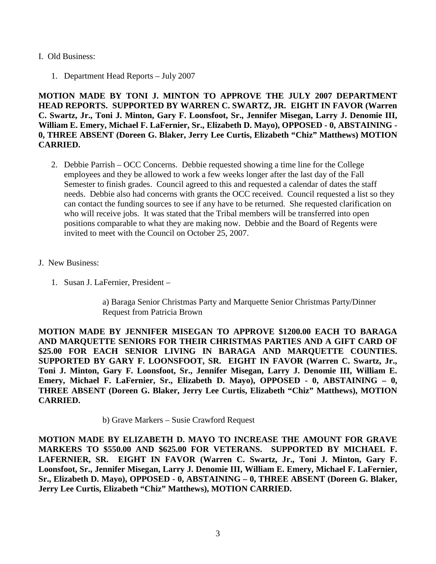## I. Old Business:

1. Department Head Reports – July 2007

**MOTION MADE BY TONI J. MINTON TO APPROVE THE JULY 2007 DEPARTMENT HEAD REPORTS. SUPPORTED BY WARREN C. SWARTZ, JR. EIGHT IN FAVOR (Warren C. Swartz, Jr., Toni J. Minton, Gary F. Loonsfoot, Sr., Jennifer Misegan, Larry J. Denomie III, William E. Emery, Michael F. LaFernier, Sr., Elizabeth D. Mayo), OPPOSED - 0, ABSTAINING - 0, THREE ABSENT (Doreen G. Blaker, Jerry Lee Curtis, Elizabeth "Chiz" Matthews) MOTION CARRIED.**

- 2. Debbie Parrish OCC Concerns. Debbie requested showing a time line for the College employees and they be allowed to work a few weeks longer after the last day of the Fall Semester to finish grades. Council agreed to this and requested a calendar of dates the staff needs. Debbie also had concerns with grants the OCC received. Council requested a list so they can contact the funding sources to see if any have to be returned. She requested clarification on who will receive jobs. It was stated that the Tribal members will be transferred into open positions comparable to what they are making now. Debbie and the Board of Regents were invited to meet with the Council on October 25, 2007.
- J. New Business:
	- 1. Susan J. LaFernier, President –

a) Baraga Senior Christmas Party and Marquette Senior Christmas Party/Dinner Request from Patricia Brown

**MOTION MADE BY JENNIFER MISEGAN TO APPROVE \$1200.00 EACH TO BARAGA AND MARQUETTE SENIORS FOR THEIR CHRISTMAS PARTIES AND A GIFT CARD OF \$25.00 FOR EACH SENIOR LIVING IN BARAGA AND MARQUETTE COUNTIES. SUPPORTED BY GARY F. LOONSFOOT, SR. EIGHT IN FAVOR (Warren C. Swartz, Jr., Toni J. Minton, Gary F. Loonsfoot, Sr., Jennifer Misegan, Larry J. Denomie III, William E. Emery, Michael F. LaFernier, Sr., Elizabeth D. Mayo), OPPOSED - 0, ABSTAINING – 0, THREE ABSENT (Doreen G. Blaker, Jerry Lee Curtis, Elizabeth "Chiz" Matthews), MOTION CARRIED.**

b) Grave Markers – Susie Crawford Request

**MOTION MADE BY ELIZABETH D. MAYO TO INCREASE THE AMOUNT FOR GRAVE MARKERS TO \$550.00 AND \$625.00 FOR VETERANS. SUPPORTED BY MICHAEL F. LAFERNIER, SR. EIGHT IN FAVOR (Warren C. Swartz, Jr., Toni J. Minton, Gary F. Loonsfoot, Sr., Jennifer Misegan, Larry J. Denomie III, William E. Emery, Michael F. LaFernier, Sr., Elizabeth D. Mayo), OPPOSED - 0, ABSTAINING – 0, THREE ABSENT (Doreen G. Blaker, Jerry Lee Curtis, Elizabeth "Chiz" Matthews), MOTION CARRIED.**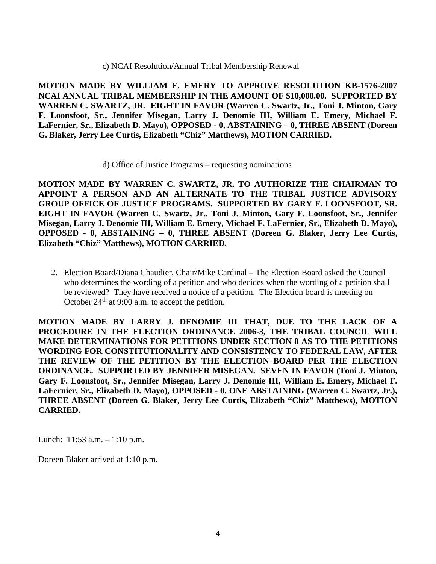## c) NCAI Resolution/Annual Tribal Membership Renewal

**MOTION MADE BY WILLIAM E. EMERY TO APPROVE RESOLUTION KB-1576-2007 NCAI ANNUAL TRIBAL MEMBERSHIP IN THE AMOUNT OF \$10,000.00. SUPPORTED BY WARREN C. SWARTZ, JR. EIGHT IN FAVOR (Warren C. Swartz, Jr., Toni J. Minton, Gary F. Loonsfoot, Sr., Jennifer Misegan, Larry J. Denomie III, William E. Emery, Michael F. LaFernier, Sr., Elizabeth D. Mayo), OPPOSED - 0, ABSTAINING – 0, THREE ABSENT (Doreen G. Blaker, Jerry Lee Curtis, Elizabeth "Chiz" Matthews), MOTION CARRIED.**

d) Office of Justice Programs – requesting nominations

**MOTION MADE BY WARREN C. SWARTZ, JR. TO AUTHORIZE THE CHAIRMAN TO APPOINT A PERSON AND AN ALTERNATE TO THE TRIBAL JUSTICE ADVISORY GROUP OFFICE OF JUSTICE PROGRAMS. SUPPORTED BY GARY F. LOONSFOOT, SR. EIGHT IN FAVOR (Warren C. Swartz, Jr., Toni J. Minton, Gary F. Loonsfoot, Sr., Jennifer Misegan, Larry J. Denomie III, William E. Emery, Michael F. LaFernier, Sr., Elizabeth D. Mayo), OPPOSED - 0, ABSTAINING – 0, THREE ABSENT (Doreen G. Blaker, Jerry Lee Curtis, Elizabeth "Chiz" Matthews), MOTION CARRIED.**

2. Election Board/Diana Chaudier, Chair/Mike Cardinal – The Election Board asked the Council who determines the wording of a petition and who decides when the wording of a petition shall be reviewed? They have received a notice of a petition. The Election board is meeting on October  $24<sup>th</sup>$  at 9:00 a.m. to accept the petition.

**MOTION MADE BY LARRY J. DENOMIE III THAT, DUE TO THE LACK OF A PROCEDURE IN THE ELECTION ORDINANCE 2006-3, THE TRIBAL COUNCIL WILL MAKE DETERMINATIONS FOR PETITIONS UNDER SECTION 8 AS TO THE PETITIONS WORDING FOR CONSTITUTIONALITY AND CONSISTENCY TO FEDERAL LAW, AFTER THE REVIEW OF THE PETITION BY THE ELECTION BOARD PER THE ELECTION ORDINANCE. SUPPORTED BY JENNIFER MISEGAN. SEVEN IN FAVOR (Toni J. Minton, Gary F. Loonsfoot, Sr., Jennifer Misegan, Larry J. Denomie III, William E. Emery, Michael F. LaFernier, Sr., Elizabeth D. Mayo), OPPOSED - 0, ONE ABSTAINING (Warren C. Swartz, Jr.), THREE ABSENT (Doreen G. Blaker, Jerry Lee Curtis, Elizabeth "Chiz" Matthews), MOTION CARRIED.**

Lunch: 11:53 a.m. – 1:10 p.m.

Doreen Blaker arrived at 1:10 p.m.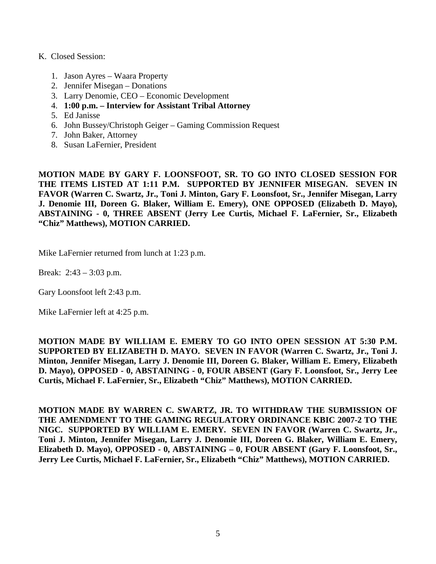## K. Closed Session:

- 1. Jason Ayres Waara Property
- 2. Jennifer Misegan Donations
- 3. Larry Denomie, CEO Economic Development
- 4. **1:00 p.m. – Interview for Assistant Tribal Attorney**
- 5. Ed Janisse
- 6. John Bussey/Christoph Geiger Gaming Commission Request
- 7. John Baker, Attorney
- 8. Susan LaFernier, President

**MOTION MADE BY GARY F. LOONSFOOT, SR. TO GO INTO CLOSED SESSION FOR THE ITEMS LISTED AT 1:11 P.M. SUPPORTED BY JENNIFER MISEGAN. SEVEN IN FAVOR (Warren C. Swartz, Jr., Toni J. Minton, Gary F. Loonsfoot, Sr., Jennifer Misegan, Larry J. Denomie III, Doreen G. Blaker, William E. Emery), ONE OPPOSED (Elizabeth D. Mayo), ABSTAINING - 0, THREE ABSENT (Jerry Lee Curtis, Michael F. LaFernier, Sr., Elizabeth "Chiz" Matthews), MOTION CARRIED.**

Mike LaFernier returned from lunch at 1:23 p.m.

Break: 2:43 – 3:03 p.m.

Gary Loonsfoot left 2:43 p.m.

Mike LaFernier left at 4:25 p.m.

**MOTION MADE BY WILLIAM E. EMERY TO GO INTO OPEN SESSION AT 5:30 P.M. SUPPORTED BY ELIZABETH D. MAYO. SEVEN IN FAVOR (Warren C. Swartz, Jr., Toni J. Minton, Jennifer Misegan, Larry J. Denomie III, Doreen G. Blaker, William E. Emery, Elizabeth D. Mayo), OPPOSED - 0, ABSTAINING - 0, FOUR ABSENT (Gary F. Loonsfoot, Sr., Jerry Lee Curtis, Michael F. LaFernier, Sr., Elizabeth "Chiz" Matthews), MOTION CARRIED.**

**MOTION MADE BY WARREN C. SWARTZ, JR. TO WITHDRAW THE SUBMISSION OF THE AMENDMENT TO THE GAMING REGULATORY ORDINANCE KBIC 2007-2 TO THE NIGC. SUPPORTED BY WILLIAM E. EMERY. SEVEN IN FAVOR (Warren C. Swartz, Jr., Toni J. Minton, Jennifer Misegan, Larry J. Denomie III, Doreen G. Blaker, William E. Emery, Elizabeth D. Mayo), OPPOSED - 0, ABSTAINING – 0, FOUR ABSENT (Gary F. Loonsfoot, Sr., Jerry Lee Curtis, Michael F. LaFernier, Sr., Elizabeth "Chiz" Matthews), MOTION CARRIED.**